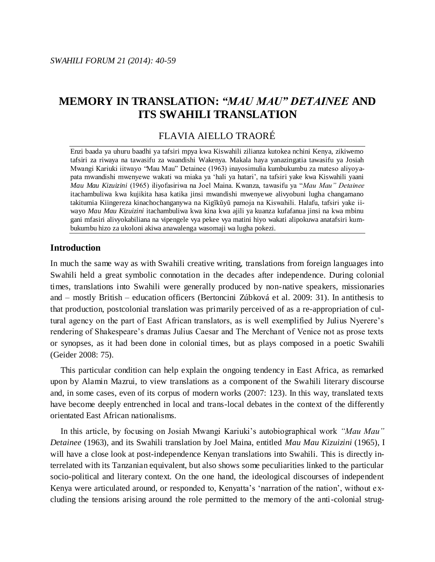# **MEMORY IN TRANSLATION:** *"MAU MAU" DETAINEE* **AND ITS SWAHILI TRANSLATION**

# FLAVIA AIELLO TRAORÉ

Enzi baada ya uhuru baadhi ya tafsiri mpya kwa Kiswahili zilianza kutokea nchini Kenya, zikiwemo tafsiri za riwaya na tawasifu za waandishi Wakenya. Makala haya yanazingatia tawasifu ya Josiah Mwangi Kariuki iitwayo "Mau Mau" Detainee (1963) inayosimulia kumbukumbu za mateso aliyoyapata mwandishi mwenyewe wakati wa miaka ya 'hali ya hatari', na tafsiri yake kwa Kiswahili yaani *Mau Mau Kizuizini* (1965) iliyofasiriwa na Joel Maina. Kwanza, tawasifu ya "*Mau Mau" Detainee* itachambuliwa kwa kujikita hasa katika jinsi mwandishi mwenyewe alivyobuni lugha changamano takitumia Kiingereza kinachochanganywa na Kigĩkũyũ pamoja na Kiswahili. Halafu, tafsiri yake iiwayo *Mau Mau Kizuizini* itachambuliwa kwa kina kwa ajili ya kuanza kufafanua jinsi na kwa mbinu gani mfasiri alivyokabiliana na vipengele vya pekee vya matini hiyo wakati alipokuwa anatafsiri kumbukumbu hizo za ukoloni akiwa anawalenga wasomaji wa lugha pokezi.

## **Introduction**

In much the same way as with Swahili creative writing, translations from foreign languages into Swahili held a great symbolic connotation in the decades after independence. During colonial times, translations into Swahili were generally produced by non-native speakers, missionaries and – mostly British – education officers (Bertoncini Zúbková et al. 2009: 31). In antithesis to that production, postcolonial translation was primarily perceived of as a re-appropriation of cultural agency on the part of East African translators, as is well exemplified by Julius Nyerere's rendering of Shakespeare's dramas Julius Caesar and The Merchant of Venice not as prose texts or synopses, as it had been done in colonial times, but as plays composed in a poetic Swahili (Geider 2008: 75).

This particular condition can help explain the ongoing tendency in East Africa, as remarked upon by Alamin Mazrui, to view translations as a component of the Swahili literary discourse and, in some cases, even of its corpus of modern works (2007: 123). In this way, translated texts have become deeply entrenched in local and trans-local debates in the context of the differently orientated East African nationalisms.

In this article, by focusing on Josiah Mwangi Kariuki's autobiographical work *"Mau Mau" Detainee* (1963), and its Swahili translation by Joel Maina, entitled *Mau Mau Kizuizini* (1965), I will have a close look at post-independence Kenyan translations into Swahili. This is directly interrelated with its Tanzanian equivalent, but also shows some peculiarities linked to the particular socio-political and literary context. On the one hand, the ideological discourses of independent Kenya were articulated around, or responded to, Kenyatta's 'narration of the nation', without excluding the tensions arising around the role permitted to the memory of the anti-colonial strug-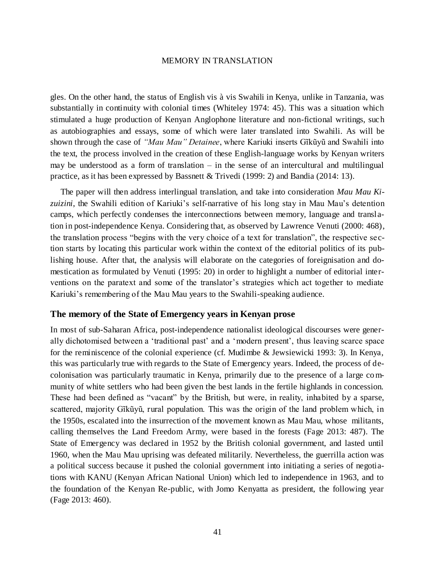gles. On the other hand, the status of English vis à vis Swahili in Kenya, unlike in Tanzania, was substantially in continuity with colonial times (Whiteley 1974: 45). This was a situation which stimulated a huge production of Kenyan Anglophone literature and non-fictional writings, such as autobiographies and essays, some of which were later translated into Swahili. As will be shown through the case of *"Mau Mau" Detainee*, where Kariuki inserts Gĩkũyũ and Swahili into the text, the process involved in the creation of these English-language works by Kenyan writers may be understood as a form of translation – in the sense of an intercultural and multilingual practice, as it has been expressed by Bassnett & Trivedi (1999: 2) and Bandia (2014: 13).

The paper will then address interlingual translation, and take into consideration *Mau Mau Kizuizini*, the Swahili edition of Kariuki's self-narrative of his long stay in Mau Mau's detention camps, which perfectly condenses the interconnections between memory, language and transl ation in post-independence Kenya. Considering that, as observed by Lawrence Venuti (2000: 468), the translation process "begins with the very choice of a text for translation", the respective section starts by locating this particular work within the context of the editorial politics of its publishing house. After that, the analysis will elaborate on the categories of foreignisation and domestication as formulated by Venuti (1995: 20) in order to highlight a number of editorial interventions on the paratext and some of the translator's strategies which act together to mediate Kariuki's remembering of the Mau Mau years to the Swahili-speaking audience.

## **The memory of the State of Emergency years in Kenyan prose**

In most of sub-Saharan Africa, post-independence nationalist ideological discourses were generally dichotomised between a 'traditional past' and a 'modern present', thus leaving scarce space for the reminiscence of the colonial experience (cf. Mudimbe & Jewsiewicki 1993: 3). In Kenya, this was particularly true with regards to the State of Emergency years. Indeed, the process of decolonisation was particularly traumatic in Kenya, primarily due to the presence of a large community of white settlers who had been given the best lands in the fertile highlands in concession. These had been defined as "vacant" by the British, but were, in reality, inhabited by a sparse, scattered, majority Gĩkũyũ, rural population. This was the origin of the land problem which, in the 1950s, escalated into the insurrection of the movement known as Mau Mau, whose militants, calling themselves the Land Freedom Army, were based in the forests (Fage 2013: 487). The State of Emergency was declared in 1952 by the British colonial government, and lasted until 1960, when the Mau Mau uprising was defeated militarily. Nevertheless, the guerrilla action was a political success because it pushed the colonial government into initiating a series of negotiations with KANU (Kenyan African National Union) which led to independence in 1963, and to the foundation of the Kenyan Re-public, with Jomo Kenyatta as president, the following year (Fage 2013: 460).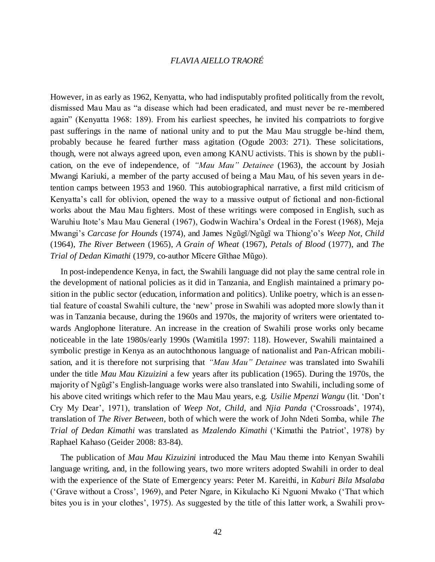However, in as early as 1962, Kenyatta, who had indisputably profited politically from the revolt, dismissed Mau Mau as "a disease which had been eradicated, and must never be re-membered again" (Kenyatta 1968: 189). From his earliest speeches, he invited his compatriots to forgive past sufferings in the name of national unity and to put the Mau Mau struggle be-hind them, probably because he feared further mass agitation (Ogude 2003: 271). These solicitations, though, were not always agreed upon, even among KANU activists. This is shown by the publication, on the eve of independence, of *"Mau Mau" Detainee* (1963), the account by Josiah Mwangi Kariuki, a member of the party accused of being a Mau Mau, of his seven years in detention camps between 1953 and 1960. This autobiographical narrative, a first mild criticism of Kenyatta's call for oblivion, opened the way to a massive output of fictional and non-fictional works about the Mau Mau fighters. Most of these writings were composed in English, such as Waruhiu Itote's Mau Mau General (1967), Godwin Wachira's Ordeal in the Forest (1968), Meja Mwangi's *Carcase for Hounds* (1974), and James Ngũgĩ/Ngũgĩ wa Thiong'o's *Weep Not, Child* (1964), *The River Between* (1965), *A Grain of Wheat* (1967), *Petals of Blood* (1977), and *The Trial of Dedan Kimathi* (1979, co-author Mĩcere Gĩthae Mũgo).

In post-independence Kenya, in fact, the Swahili language did not play the same central role in the development of national policies as it did in Tanzania, and English maintained a primary position in the public sector (education, information and politics). Unlike poetry, which is an esse ntial feature of coastal Swahili culture, the 'new' prose in Swahili was adopted more slowly than it was in Tanzania because, during the 1960s and 1970s, the majority of writers were orientated towards Anglophone literature. An increase in the creation of Swahili prose works only became noticeable in the late 1980s/early 1990s (Wamitila 1997: 118). However, Swahili maintained a symbolic prestige in Kenya as an autochthonous language of nationalist and Pan-African mobilisation, and it is therefore not surprising that *"Mau Mau" Detainee* was translated into Swahili under the title *Mau Mau Kizuizini* a few years after its publication (1965). During the 1970s, the majority of Ngũgĩ's English-language works were also translated into Swahili, including some of his above cited writings which refer to the Mau Mau years, e.g. *Usilie Mpenzi Wangu* (lit. 'Don't Cry My Dear', 1971), translation of *Weep Not, Child*, and *Njia Panda* ('Crossroads', 1974), translation of *The River Between*, both of which were the work of John Ndeti Somba, while *The Trial of Dedan Kimathi* was translated as *Mzalendo Kimathi* ('Kimathi the Patriot', 1978) by Raphael Kahaso (Geider 2008: 83-84).

The publication of *Mau Mau Kizuizini* introduced the Mau Mau theme into Kenyan Swahili language writing, and, in the following years, two more writers adopted Swahili in order to deal with the experience of the State of Emergency years: Peter M. Kareithi, in *Kaburi Bila Msalaba* ('Grave without a Cross', 1969), and Peter Ngare, in Kikulacho Ki Nguoni Mwako ('That which bites you is in your clothes', 1975). As suggested by the title of this latter work, a Swahili prov-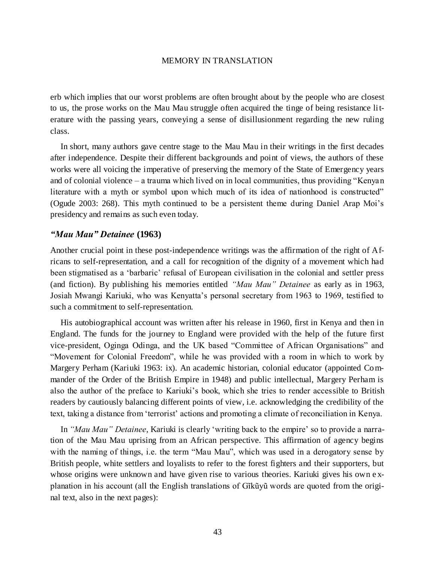erb which implies that our worst problems are often brought about by the people who are closest to us, the prose works on the Mau Mau struggle often acquired the tinge of being resistance literature with the passing years, conveying a sense of disillusionment regarding the new ruling class.

In short, many authors gave centre stage to the Mau Mau in their writings in the first decades after independence. Despite their different backgrounds and point of views, the authors of these works were all voicing the imperative of preserving the memory of the State of Emergency years and of colonial violence – a trauma which lived on in local communities, thus providing "Kenyan literature with a myth or symbol upon which much of its idea of nationhood is constructed" (Ogude 2003: 268). This myth continued to be a persistent theme during Daniel Arap Moi's presidency and remains as such even today.

## *"Mau Mau" Detainee* **(1963)**

Another crucial point in these post-independence writings was the affirmation of the right of Africans to self-representation, and a call for recognition of the dignity of a movement which had been stigmatised as a 'barbaric' refusal of European civilisation in the colonial and settler press (and fiction). By publishing his memories entitled *"Mau Mau" Detainee* as early as in 1963, Josiah Mwangi Kariuki, who was Kenyatta's personal secretary from 1963 to 1969, testified to such a commitment to self-representation.

His autobiographical account was written after his release in 1960, first in Kenya and then in England. The funds for the journey to England were provided with the help of the future first vice-president, Oginga Odinga, and the UK based "Committee of African Organisations" and "Movement for Colonial Freedom", while he was provided with a room in which to work by Margery Perham (Kariuki 1963: ix). An academic historian, colonial educator (appointed Commander of the Order of the British Empire in 1948) and public intellectual, Margery Perham is also the author of the preface to Kariuki's book, which she tries to render accessible to British readers by cautiously balancing different points of view, i.e. acknowledging the credibility of the text, taking a distance from 'terrorist' actions and promoting a climate of reconciliation in Kenya.

In *"Mau Mau" Detainee*, Kariuki is clearly 'writing back to the empire' so to provide a narration of the Mau Mau uprising from an African perspective. This affirmation of agency begins with the naming of things, i.e. the term "Mau Mau", which was used in a derogatory sense by British people, white settlers and loyalists to refer to the forest fighters and their supporters, but whose origins were unknown and have given rise to various theories. Kariuki gives his own e xplanation in his account (all the English translations of Gĩkũyũ words are quoted from the original text, also in the next pages):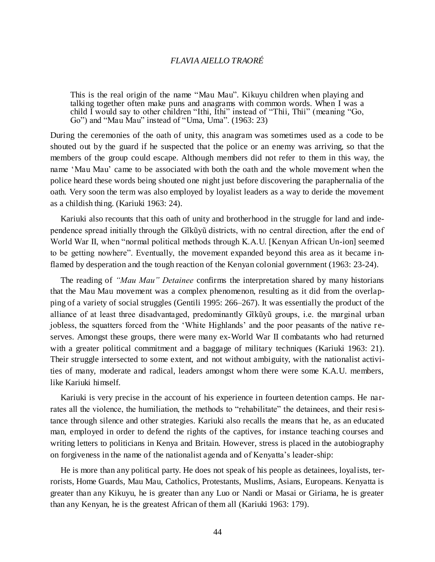This is the real origin of the name "Mau Mau". Kikuyu children when playing and talking together often make puns and anagrams with common words. When I was a child I would say to other children "Ithi, Ithi" instead of "Thii, Thii" (meaning "Go, Go") and "Mau Mau" instead of "Uma, Uma". (1963: 23)

During the ceremonies of the oath of unity, this anagram was sometimes used as a code to be shouted out by the guard if he suspected that the police or an enemy was arriving, so that the members of the group could escape. Although members did not refer to them in this way, the name 'Mau Mau' came to be associated with both the oath and the whole movement when the police heard these words being shouted one night just before discovering the paraphernalia of the oath. Very soon the term was also employed by loyalist leaders as a way to deride the movement as a childish thing. (Kariuki 1963: 24).

Kariuki also recounts that this oath of unity and brotherhood in the struggle for land and independence spread initially through the Gĩkũyũ districts, with no central direction, after the end of World War II, when "normal political methods through K.A.U. [Kenyan African Un-ion] seemed to be getting nowhere". Eventually, the movement expanded beyond this area as it became inflamed by desperation and the tough reaction of the Kenyan colonial government (1963: 23-24).

The reading of *"Mau Mau" Detainee* confirms the interpretation shared by many historians that the Mau Mau movement was a complex phenomenon, resulting as it did from the overlapping of a variety of social struggles (Gentili 1995: 266–267). It was essentially the product of the alliance of at least three disadvantaged, predominantly Gĩkũyũ groups, i.e. the marginal urban jobless, the squatters forced from the 'White Highlands' and the poor peasants of the native reserves. Amongst these groups, there were many ex-World War II combatants who had returned with a greater political commitment and a baggage of military techniques (Kariuki 1963: 21). Their struggle intersected to some extent, and not without ambiguity, with the nationalist activities of many, moderate and radical, leaders amongst whom there were some K.A.U. members, like Kariuki himself.

Kariuki is very precise in the account of his experience in fourteen detention camps. He narrates all the violence, the humiliation, the methods to "rehabilitate" the detainees, and their resistance through silence and other strategies. Kariuki also recalls the means that he, as an educated man, employed in order to defend the rights of the captives, for instance teaching courses and writing letters to politicians in Kenya and Britain. However, stress is placed in the autobiography on forgiveness in the name of the nationalist agenda and of Kenyatta's leader-ship:

He is more than any political party. He does not speak of his people as detainees, loyalists, terrorists, Home Guards, Mau Mau, Catholics, Protestants, Muslims, Asians, Europeans. Kenyatta is greater than any Kikuyu, he is greater than any Luo or Nandi or Masai or Giriama, he is greater than any Kenyan, he is the greatest African of them all (Kariuki 1963: 179).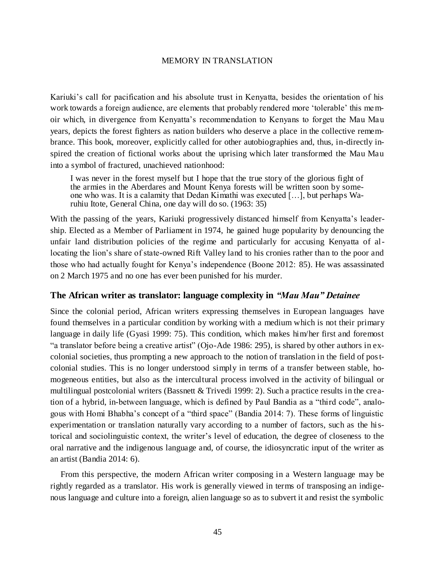Kariuki's call for pacification and his absolute trust in Kenyatta, besides the orientation of his work towards a foreign audience, are elements that probably rendered more 'tolerable' this memoir which, in divergence from Kenyatta's recommendation to Kenyans to forget the Mau Mau years, depicts the forest fighters as nation builders who deserve a place in the collective remembrance. This book, moreover, explicitly called for other autobiographies and, thus, in-directly inspired the creation of fictional works about the uprising which later transformed the Mau Mau into a symbol of fractured, unachieved nationhood:

I was never in the forest myself but I hope that the true story of the glorious fight of the armies in the Aberdares and Mount Kenya forests will be written soon by someone who was. It is a calamity that Dedan Kimathi was executed […], but perhaps Waruhiu Itote, General China, one day will do so. (1963: 35)

With the passing of the years, Kariuki progressively distanced himself from Kenyatta's leadership. Elected as a Member of Parliament in 1974, he gained huge popularity by denouncing the unfair land distribution policies of the regime and particularly for accusing Kenyatta of allocating the lion's share of state-owned Rift Valley land to his cronies rather than to the poor and those who had actually fought for Kenya's independence (Boone 2012: 85). He was assassinated on 2 March 1975 and no one has ever been punished for his murder.

## **The African writer as translator: language complexity in** *"Mau Mau" Detainee*

Since the colonial period, African writers expressing themselves in European languages have found themselves in a particular condition by working with a medium which is not their primary language in daily life (Gyasi 1999: 75). This condition, which makes him/her first and foremost "a translator before being a creative artist" (Ojo-Ade 1986: 295), is shared by other authors in excolonial societies, thus prompting a new approach to the notion of translation in the field of postcolonial studies. This is no longer understood simply in terms of a transfer between stable, homogeneous entities, but also as the intercultural process involved in the activity of bilingual or multilingual postcolonial writers (Bassnett & Trivedi 1999: 2). Such a practice results in the creation of a hybrid, in-between language, which is defined by Paul Bandia as a "third code", analogous with Homi Bhabha's concept of a "third space" (Bandia 2014: 7). These forms of linguistic experimentation or translation naturally vary according to a number of factors, such as the historical and sociolinguistic context, the writer's level of education, the degree of closeness to the oral narrative and the indigenous language and, of course, the idiosyncratic input of the writer as an artist (Bandia 2014: 6).

From this perspective, the modern African writer composing in a Western language may be rightly regarded as a translator. His work is generally viewed in terms of transposing an indigenous language and culture into a foreign, alien language so as to subvert it and resist the symbolic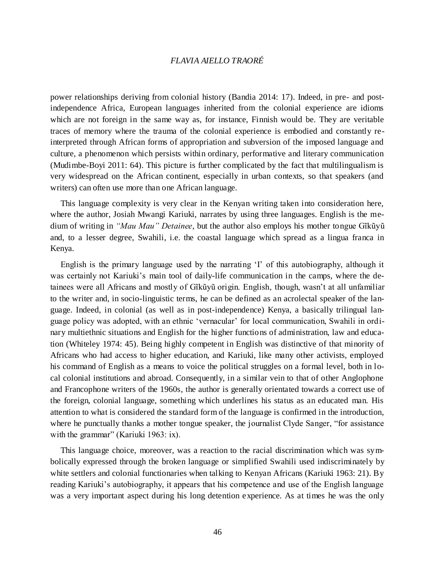power relationships deriving from colonial history (Bandia 2014: 17). Indeed, in pre- and postindependence Africa, European languages inherited from the colonial experience are idioms which are not foreign in the same way as, for instance, Finnish would be. They are veritable traces of memory where the trauma of the colonial experience is embodied and constantly reinterpreted through African forms of appropriation and subversion of the imposed language and culture, a phenomenon which persists within ordinary, performative and literary communication (Mudimbe-Boyi 2011: 64). This picture is further complicated by the fact that multilingualism is very widespread on the African continent, especially in urban contexts, so that speakers (and writers) can often use more than one African language.

This language complexity is very clear in the Kenyan writing taken into consideration here, where the author, Josiah Mwangi Kariuki, narrates by using three languages. English is the medium of writing in *"Mau Mau" Detainee*, but the author also employs his mother tongue Gĩkũyũ and, to a lesser degree, Swahili, i.e. the coastal language which spread as a lingua franca in Kenya.

English is the primary language used by the narrating 'I' of this autobiography, although it was certainly not Kariuki's main tool of daily-life communication in the camps, where the detainees were all Africans and mostly of Gĩkũyũ origin. English, though, wasn't at all unfamiliar to the writer and, in socio-linguistic terms, he can be defined as an acrolectal speaker of the language. Indeed, in colonial (as well as in post-independence) Kenya, a basically trilingual language policy was adopted, with an ethnic 'vernacular' for local communication, Swahili in ordinary multiethnic situations and English for the higher functions of administration, law and education (Whiteley 1974: 45). Being highly competent in English was distinctive of that minority of Africans who had access to higher education, and Kariuki, like many other activists, employed his command of English as a means to voice the political struggles on a formal level, both in local colonial institutions and abroad. Consequently, in a similar vein to that of other Anglophone and Francophone writers of the 1960s, the author is generally orientated towards a correct use of the foreign, colonial language, something which underlines his status as an educated man. His attention to what is considered the standard form of the language is confirmed in the introduction, where he punctually thanks a mother tongue speaker, the journalist Clyde Sanger, "for assistance with the grammar" (Kariuki 1963: ix).

This language choice, moreover, was a reaction to the racial discrimination which was symbolically expressed through the broken language or simplified Swahili used indiscriminately by white settlers and colonial functionaries when talking to Kenyan Africans (Kariuki 1963: 21). By reading Kariuki's autobiography, it appears that his competence and use of the English language was a very important aspect during his long detention experience. As at times he was the only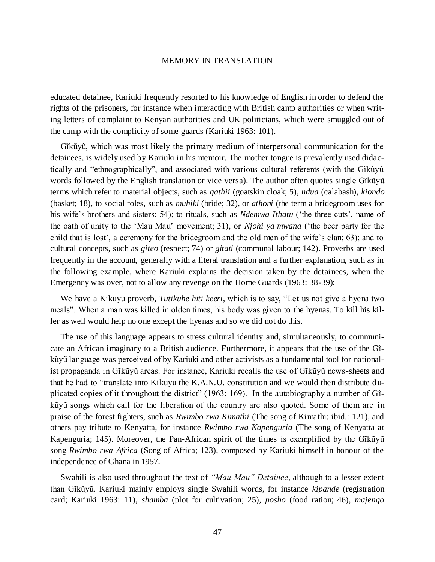educated detainee, Kariuki frequently resorted to his knowledge of English in order to defend the rights of the prisoners, for instance when interacting with British camp authorities or when writing letters of complaint to Kenyan authorities and UK politicians, which were smuggled out of the camp with the complicity of some guards (Kariuki 1963: 101).

Gĩkũyũ, which was most likely the primary medium of interpersonal communication for the detainees, is widely used by Kariuki in his memoir. The mother tongue is prevalently used didactically and "ethnographically", and associated with various cultural referents (with the Gĩkũyũ words followed by the English translation or vice versa). The author often quotes single Gĩkũyũ terms which refer to material objects, such as *gathii* (goatskin cloak; 5), *ndua* (calabash), *kiondo* (basket; 18), to social roles, such as *muhiki* (bride; 32), or *athoni* (the term a bridegroom uses for his wife's brothers and sisters; 54); to rituals, such as *Ndemwa Ithatu* ('the three cuts', name of the oath of unity to the 'Mau Mau' movement; 31), or *Njohi ya mwana* ('the beer party for the child that is lost', a ceremony for the bridegroom and the old men of the wife's clan; 63); and to cultural concepts, such as *giteo* (respect; 74) or *gitati* (communal labour; 142). Proverbs are used frequently in the account, generally with a literal translation and a further explanation, such as in the following example, where Kariuki explains the decision taken by the detainees, when the Emergency was over, not to allow any revenge on the Home Guards (1963: 38-39):

We have a Kikuyu proverb, *Tutikuhe hiti keeri*, which is to say, "Let us not give a hyena two meals". When a man was killed in olden times, his body was given to the hyenas. To kill his killer as well would help no one except the hyenas and so we did not do this.

The use of this language appears to stress cultural identity and, simultaneously, to communicate an African imaginary to a British audience. Furthermore, it appears that the use of the Gĩkũyũ language was perceived of by Kariuki and other activists as a fundamental tool for nationalist propaganda in Gĩkũyũ areas. For instance, Kariuki recalls the use of Gĩkũyũ news-sheets and that he had to "translate into Kikuyu the K.A.N.U. constitution and we would then distribute duplicated copies of it throughout the district" (1963: 169). In the autobiography a number of Gĩkũyũ songs which call for the liberation of the country are also quoted. Some of them are in praise of the forest fighters, such as *Rwimbo rwa Kimathi* (The song of Kimathi; ibid.: 121), and others pay tribute to Kenyatta, for instance *Rwimbo rwa Kapenguria* (The song of Kenyatta at Kapenguria; 145). Moreover, the Pan-African spirit of the times is exemplified by the Gĩkũyũ song *Rwimbo rwa Africa* (Song of Africa; 123), composed by Kariuki himself in honour of the independence of Ghana in 1957.

Swahili is also used throughout the text of *"Mau Mau" Detainee*, although to a lesser extent than Gĩkũyũ. Kariuki mainly employs single Swahili words, for instance *kipande* (registration card; Kariuki 1963: 11), *shamba* (plot for cultivation; 25), *posho* (food ration; 46), *majengo*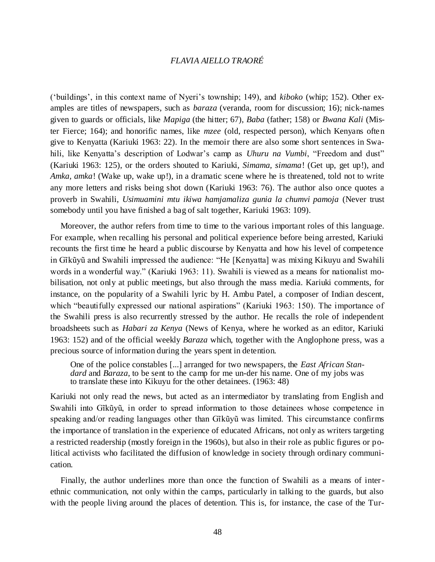('buildings', in this context name of Nyeri's township; 149), and *kiboko* (whip; 152). Other examples are titles of newspapers, such as *baraza* (veranda, room for discussion; 16); nick-names given to guards or officials, like *Mapiga* (the hitter; 67), *Baba* (father; 158) or *Bwana Kali* (Mister Fierce; 164); and honorific names, like *mzee* (old, respected person), which Kenyans often give to Kenyatta (Kariuki 1963: 22). In the memoir there are also some short sentences in Swahili, like Kenyatta's description of Lodwar's camp as *Uhuru na Vumbi*, "Freedom and dust" (Kariuki 1963: 125), or the orders shouted to Kariuki, *Simama, simama*! (Get up, get up!), and *Amka, amka!* (Wake up, wake up!), in a dramatic scene where he is threatened, told not to write any more letters and risks being shot down (Kariuki 1963: 76). The author also once quotes a proverb in Swahili, *Usimuamini mtu ikiwa hamjamaliza gunia la chumvi pamoja* (Never trust somebody until you have finished a bag of salt together, Kariuki 1963: 109).

Moreover, the author refers from time to time to the various important roles of this language. For example, when recalling his personal and political experience before being arrested, Kariuki recounts the first time he heard a public discourse by Kenyatta and how his level of competence in Gĩkũyũ and Swahili impressed the audience: "He [Kenyatta] was mixing Kikuyu and Swahili words in a wonderful way." (Kariuki 1963: 11). Swahili is viewed as a means for nationalist mobilisation, not only at public meetings, but also through the mass media. Kariuki comments, for instance, on the popularity of a Swahili lyric by H. Ambu Patel, a composer of Indian descent, which "beautifully expressed our national aspirations" (Kariuki 1963: 150). The importance of the Swahili press is also recurrently stressed by the author. He recalls the role of independent broadsheets such as *Habari za Kenya* (News of Kenya, where he worked as an editor, Kariuki 1963: 152) and of the official weekly *Baraza* which, together with the Anglophone press, was a precious source of information during the years spent in detention.

One of the police constables [...] arranged for two newspapers, the *East African Standard* and *Baraza*, to be sent to the camp for me un-der his name. One of my jobs was to translate these into Kikuyu for the other detainees. (1963: 48)

Kariuki not only read the news, but acted as an intermediator by translating from English and Swahili into Gĩkũyũ, in order to spread information to those detainees whose competence in speaking and/or reading languages other than Gĩkũyũ was limited. This circumstance confirms the importance of translation in the experience of educated Africans, not only as writers targeting a restricted readership (mostly foreign in the 1960s), but also in their role as public figures or political activists who facilitated the diffusion of knowledge in society through ordinary communication.

Finally, the author underlines more than once the function of Swahili as a means of interethnic communication, not only within the camps, particularly in talking to the guards, but also with the people living around the places of detention. This is, for instance, the case of the Tur-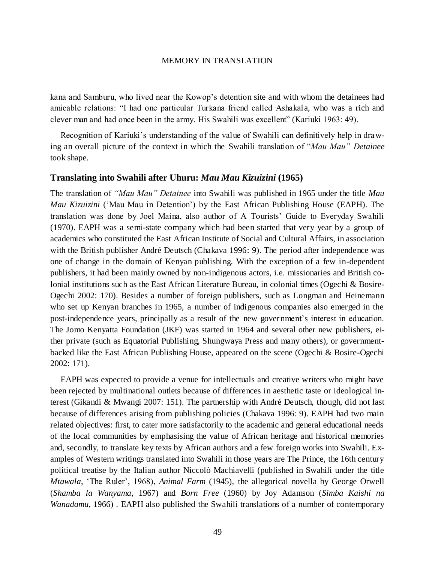kana and Samburu, who lived near the Kowop's detention site and with whom the detainees had amicable relations: "I had one particular Turkana friend called Ashakala, who was a rich and clever man and had once been in the army. His Swahili was excellent" (Kariuki 1963: 49).

Recognition of Kariuki's understanding of the value of Swahili can definitively help in drawing an overall picture of the context in which the Swahili translation of "*Mau Mau" Detainee*  took shape.

## **Translating into Swahili after Uhuru:** *Mau Mau Kizuizini* **(1965)**

The translation of *"Mau Mau" Detainee* into Swahili was published in 1965 under the title *Mau Mau Kizuizini* ('Mau Mau in Detention') by the East African Publishing House (EAPH). The translation was done by Joel Maina, also author of A Tourists' Guide to Everyday Swahili (1970). EAPH was a semi-state company which had been started that very year by a group of academics who constituted the East African Institute of Social and Cultural Affairs, in association with the British publisher André Deutsch (Chakava 1996: 9). The period after independence was one of change in the domain of Kenyan publishing. With the exception of a few in-dependent publishers, it had been mainly owned by non-indigenous actors, i.e. missionaries and British colonial institutions such as the East African Literature Bureau, in colonial times (Ogechi & Bosire-Ogechi 2002: 170). Besides a number of foreign publishers, such as Longman and Heinemann who set up Kenyan branches in 1965, a number of indigenous companies also emerged in the post-independence years, principally as a result of the new gover nment's interest in education. The Jomo Kenyatta Foundation (JKF) was started in 1964 and several other new publishers, either private (such as Equatorial Publishing, Shungwaya Press and many others), or governmentbacked like the East African Publishing House, appeared on the scene (Ogechi & Bosire-Ogechi 2002: 171).

EAPH was expected to provide a venue for intellectuals and creative writers who might have been rejected by multinational outlets because of differences in aesthetic taste or ideological interest (Gikandi & Mwangi 2007: 151). The partnership with André Deutsch, though, did not last because of differences arising from publishing policies (Chakava 1996: 9). EAPH had two main related objectives: first, to cater more satisfactorily to the academic and general educational needs of the local communities by emphasising the value of African heritage and historical memories and, secondly, to translate key texts by African authors and a few foreign works into Swahili. Examples of Western writings translated into Swahili in those years are The Prince, the 16th century political treatise by the Italian author Niccolò Machiavelli (published in Swahili under the title *Mtawala*, 'The Ruler', 1968), *Animal Farm* (1945), the allegorical novella by George Orwell (*Shamba la Wanyama*, 1967) and *Born Free* (1960) by Joy Adamson (*Simba Kaishi na Wanadamu*, 1966) . EAPH also published the Swahili translations of a number of contemporary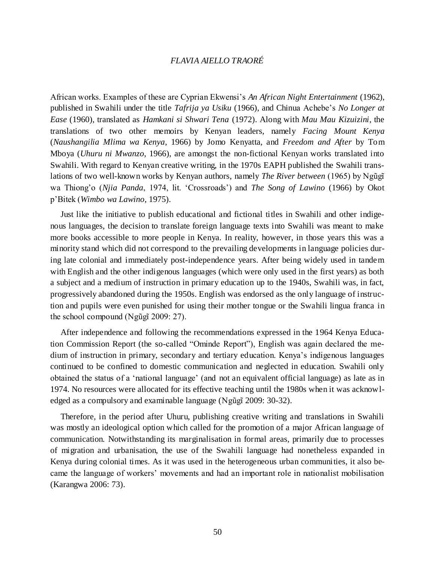African works. Examples of these are Cyprian Ekwensi's *An African Night Entertainment* (1962), published in Swahili under the title *Tafrija ya Usiku* (1966), and Chinua Achebe's *No Longer at Ease* (1960), translated as *Hamkani si Shwari Tena* (1972). Along with *Mau Mau Kizuizini*, the translations of two other memoirs by Kenyan leaders, namely *Facing Mount Kenya* (*Naushangilia Mlima wa Kenya*, 1966) by Jomo Kenyatta, and *Freedom and After* by Tom Mboya (*Uhuru ni Mwanzo*, 1966), are amongst the non-fictional Kenyan works translated into Swahili. With regard to Kenyan creative writing, in the 1970s EAPH published the Swahili translations of two well-known works by Kenyan authors, namely *The River between* (1965) by Ngũgĩ wa Thiong'o (*Njia Panda*, 1974, lit. 'Crossroads') and *The Song of Lawino* (1966) by Okot p'Bitek (*Wimbo wa Lawino*, 1975).

Just like the initiative to publish educational and fictional titles in Swahili and other indigenous languages, the decision to translate foreign language texts into Swahili was meant to make more books accessible to more people in Kenya. In reality, however, in those years this was a minority stand which did not correspond to the prevailing developments in language policies during late colonial and immediately post-independence years. After being widely used in tandem with English and the other indigenous languages (which were only used in the first years) as both a subject and a medium of instruction in primary education up to the 1940s, Swahili was, in fact, progressively abandoned during the 1950s. English was endorsed as the only language of instruction and pupils were even punished for using their mother tongue or the Swahili lingua franca in the school compound (Ngũgĩ 2009: 27).

After independence and following the recommendations expressed in the 1964 Kenya Education Commission Report (the so-called "Ominde Report"), English was again declared the medium of instruction in primary, secondary and tertiary education. Kenya's indigenous languages continued to be confined to domestic communication and neglected in education. Swahili only obtained the status of a 'national language' (and not an equivalent official language) as late as in 1974. No resources were allocated for its effective teaching until the 1980s when it was acknowledged as a compulsory and examinable language (Ngũgĩ 2009: 30-32).

Therefore, in the period after Uhuru, publishing creative writing and translations in Swahili was mostly an ideological option which called for the promotion of a major African language of communication. Notwithstanding its marginalisation in formal areas, primarily due to processes of migration and urbanisation, the use of the Swahili language had nonetheless expanded in Kenya during colonial times. As it was used in the heterogeneous urban communities, it also became the language of workers' movements and had an important role in nationalist mobilisation (Karangwa 2006: 73).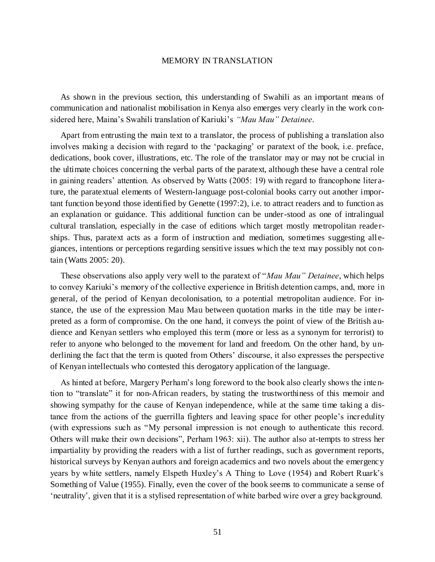As shown in the previous section, this understanding of Swahili as an important means of communication and nationalist mobilisation in Kenya also emerges very clearly in the work considered here, Maina's Swahili translation of Kariuki's *"Mau Mau" Detainee*.

Apart from entrusting the main text to a translator, the process of publishing a translation also involves making a decision with regard to the 'packaging' or paratext of the book, i.e. preface, dedications, book cover, illustrations, etc. The role of the translator may or may not be crucial in the ultimate choices concerning the verbal parts of the paratext, although these have a central role in gaining readers' attention. As observed by Watts (2005: 19) with regard to francophone literature, the paratextual elements of Western-language post-colonial books carry out another important function beyond those identified by Genette (1997:2), i.e. to attract readers and to function as an explanation or guidance. This additional function can be under-stood as one of intralingual cultural translation, especially in the case of editions which target mostly metropolitan readerships. Thus, paratext acts as a form of instruction and mediation, sometimes suggesting allegiances, intentions or perceptions regarding sensitive issues which the text may possibly not contain (Watts 2005: 20).

These observations also apply very well to the paratext of "*Mau Mau" Detainee*, which helps to convey Kariuki's memory of the collective experience in British detention camps, and, more in general, of the period of Kenyan decolonisation, to a potential metropolitan audience. For instance, the use of the expression Mau Mau between quotation marks in the title may be interpreted as a form of compromise. On the one hand, it conveys the point of view of the British audience and Kenyan settlers who employed this term (more or less as a synonym for terrorist) to refer to anyone who belonged to the movement for land and freedom. On the other hand, by underlining the fact that the term is quoted from Others' discourse, it also expresses the perspective of Kenyan intellectuals who contested this derogatory application of the language.

As hinted at before, Margery Perham's long foreword to the book also clearly shows the inte ntion to "translate" it for non-African readers, by stating the trustworthiness of this memoir and showing sympathy for the cause of Kenyan independence, while at the same time taking a distance from the actions of the guerrilla fighters and leaving space for other people's incredulity (with expressions such as "My personal impression is not enough to authenticate this record. Others will make their own decisions", Perham 1963: xii). The author also at-tempts to stress her impartiality by providing the readers with a list of further readings, such as government reports, historical surveys by Kenyan authors and foreign academics and two novels about the emergency years by white settlers, namely Elspeth Huxley's A Thing to Love (1954) and Robert Ruark's Something of Value (1955). Finally, even the cover of the book seems to communicate a sense of 'neutrality', given that it is a stylised representation of white barbed wire over a grey background.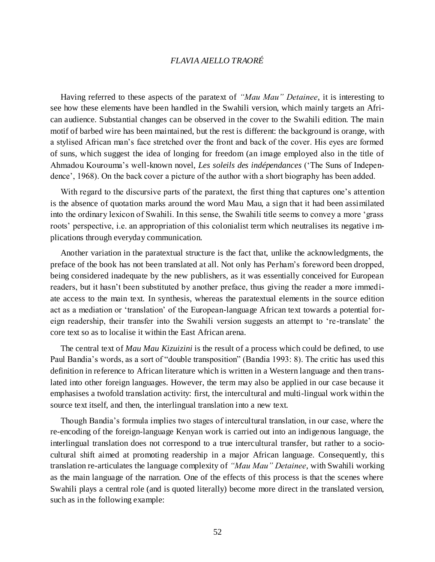Having referred to these aspects of the paratext of *"Mau Mau" Detainee*, it is interesting to see how these elements have been handled in the Swahili version, which mainly targets an African audience. Substantial changes can be observed in the cover to the Swahili edition. The main motif of barbed wire has been maintained, but the rest is different: the background is orange, with a stylised African man's face stretched over the front and back of the cover. His eyes are formed of suns, which suggest the idea of longing for freedom (an image employed also in the title of Ahmadou Kourouma's well-known novel, *Les soleils des indépendances* ('The Suns of Independence', 1968). On the back cover a picture of the author with a short biography has been added.

With regard to the discursive parts of the paratext, the first thing that captures one's attention is the absence of quotation marks around the word Mau Mau, a sign that it had been assimilated into the ordinary lexicon of Swahili. In this sense, the Swahili title seems to convey a more 'grass roots' perspective, i.e. an appropriation of this colonialist term which neutralises its negative implications through everyday communication.

Another variation in the paratextual structure is the fact that, unlike the acknowledgments, the preface of the book has not been translated at all. Not only has Perham's foreword been dropped, being considered inadequate by the new publishers, as it was essentially conceived for European readers, but it hasn't been substituted by another preface, thus giving the reader a more immediate access to the main text. In synthesis, whereas the paratextual elements in the source edition act as a mediation or 'translation' of the European-language African text towards a potential foreign readership, their transfer into the Swahili version suggests an attempt to 're-translate' the core text so as to localise it within the East African arena.

The central text of *Mau Mau Kizuizini* is the result of a process which could be defined, to use Paul Bandia's words, as a sort of "double transposition" (Bandia 1993: 8). The critic has used this definition in reference to African literature which is written in a Western language and then translated into other foreign languages. However, the term may also be applied in our case because it emphasises a twofold translation activity: first, the intercultural and multi-lingual work within the source text itself, and then, the interlingual translation into a new text.

Though Bandia's formula implies two stages of intercultural translation, in our case, where the re-encoding of the foreign-language Kenyan work is carried out into an indigenous language, the interlingual translation does not correspond to a true intercultural transfer, but rather to a sociocultural shift aimed at promoting readership in a major African language. Consequently, this translation re-articulates the language complexity of *"Mau Mau" Detainee*, with Swahili working as the main language of the narration. One of the effects of this process is that the scenes where Swahili plays a central role (and is quoted literally) become more direct in the translated version, such as in the following example: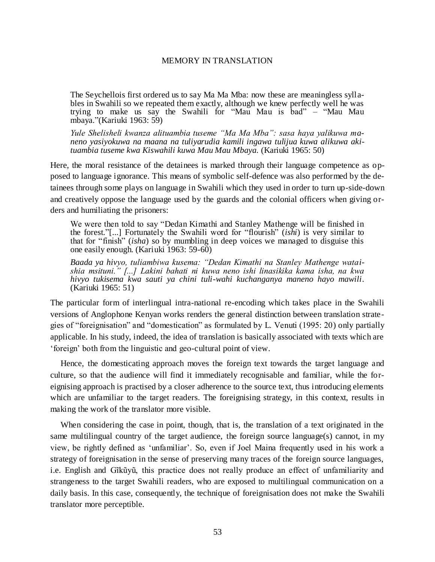The Seychellois first ordered us to say Ma Ma Mba: now these are meaningless syllables in Swahili so we repeated them exactly, although we knew perfectly well he was trying to make us say the Swahili for "Mau Mau is bad" – "Mau Mau mbaya."(Kariuki 1963: 59)

*Yule Shelisheli kwanza alituambia tuseme "Ma Ma Mba": sasa haya yalikuwa maneno yasiyokuwa na maana na tuliyarudia kamili ingawa tulijua kuwa alikuwa akituambia tuseme kwa Kiswahili kuwa Mau Mau Mbaya.* (Kariuki 1965: 50)

Here, the moral resistance of the detainees is marked through their language competence as opposed to language ignorance. This means of symbolic self-defence was also performed by the detainees through some plays on language in Swahili which they used in order to turn up-side-down and creatively oppose the language used by the guards and the colonial officers when giving orders and humiliating the prisoners:

We were then told to say "Dedan Kimathi and Stanley Mathenge will be finished in the forest."[...] Fortunately the Swahili word for "flourish" (*ishi*) is very similar to that for "finish" (*isha*) so by mumbling in deep voices we managed to disguise this one easily enough. (Kariuki 1963: 59-60)

*Baada ya hivyo, tuliambiwa kusema: "Dedan Kimathi na Stanley Mathenge wataishia msituni." [...] Lakini bahati ni kuwa neno ishi linasikika kama isha, na kwa hivyo tukisema kwa sauti ya chini tuli-wahi kuchanganya maneno hayo mawili*. (Kariuki 1965: 51)

The particular form of interlingual intra-national re-encoding which takes place in the Swahili versions of Anglophone Kenyan works renders the general distinction between translation strategies of "foreignisation" and "domestication" as formulated by L. Venuti (1995: 20) only partially applicable. In his study, indeed, the idea of translation is basically associated with texts which are 'foreign' both from the linguistic and geo-cultural point of view.

Hence, the domesticating approach moves the foreign text towards the target language and culture, so that the audience will find it immediately recognisable and familiar, while the foreignising approach is practised by a closer adherence to the source text, thus introducing elements which are unfamiliar to the target readers. The foreignising strategy, in this context, results in making the work of the translator more visible.

When considering the case in point, though, that is, the translation of a text originated in the same multilingual country of the target audience, the foreign source language(s) cannot, in my view, be rightly defined as 'unfamiliar'. So, even if Joel Maina frequently used in his work a strategy of foreignisation in the sense of preserving many traces of the foreign source languages, i.e. English and Gĩkũyũ, this practice does not really produce an effect of unfamiliarity and strangeness to the target Swahili readers, who are exposed to multilingual communication on a daily basis. In this case, consequently, the technique of foreignisation does not make the Swahili translator more perceptible.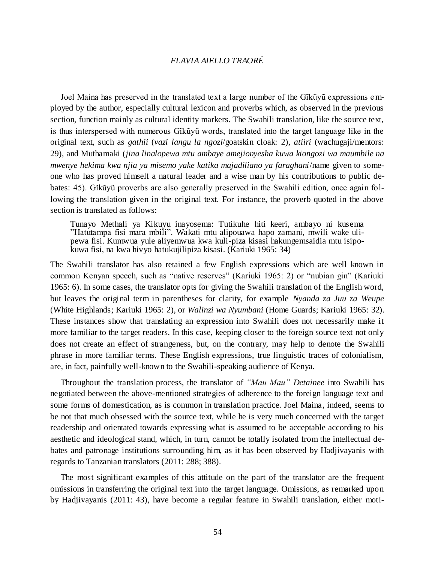Joel Maina has preserved in the translated text a large number of the Gĩkũyũ expressions employed by the author, especially cultural lexicon and proverbs which, as observed in the previous section, function mainly as cultural identity markers. The Swahili translation, like the source text, is thus interspersed with numerous Gĩkũyũ words, translated into the target language like in the original text, such as *gathii* (*vazi langu la ngozi*/goatskin cloak: 2), *atiiri* (wachugaji/mentors: 29), and Muthamaki (*jina linalopewa mtu ambaye amejionyesha kuwa kiongozi wa maumbile na mwenye hekima kwa njia ya misemo yake katika majadiliano ya faraghani*/name given to someone who has proved himself a natural leader and a wise man by his contributions to public debates: 45). Gĩkũyũ proverbs are also generally preserved in the Swahili edition, once again following the translation given in the original text. For instance, the proverb quoted in the above section is translated as follows:

Tunayo Methali ya Kikuyu inayosema: Tutikuhe hiti keeri, ambayo ni kusema "Hatutampa fisi mara mbili". Wakati mtu alipouawa hapo zamani, mwili wake ulipewa fisi. Kumwua yule aliyemwua kwa kuli-piza kisasi hakungemsaidia mtu isipokuwa fisi, na kwa hivyo hatukujilipiza kisasi. (Kariuki 1965: 34)

The Swahili translator has also retained a few English expressions which are well known in common Kenyan speech, such as "native reserves" (Kariuki 1965: 2) or "nubian gin" (Kariuki 1965: 6). In some cases, the translator opts for giving the Swahili translation of the English word, but leaves the original term in parentheses for clarity, for example *Nyanda za Juu za Weupe* (White Highlands; Kariuki 1965: 2), or *Walinzi wa Nyumbani* (Home Guards; Kariuki 1965: 32). These instances show that translating an expression into Swahili does not necessarily make it more familiar to the target readers. In this case, keeping closer to the foreign source text not only does not create an effect of strangeness, but, on the contrary, may help to denote the Swahili phrase in more familiar terms. These English expressions, true linguistic traces of colonialism, are, in fact, painfully well-known to the Swahili-speaking audience of Kenya.

Throughout the translation process, the translator of *"Mau Mau" Detainee* into Swahili has negotiated between the above-mentioned strategies of adherence to the foreign language text and some forms of domestication, as is common in translation practice. Joel Maina, indeed, seems to be not that much obsessed with the source text, while he is very much concerned with the target readership and orientated towards expressing what is assumed to be acceptable according to his aesthetic and ideological stand, which, in turn, cannot be totally isolated from the intellectual debates and patronage institutions surrounding him, as it has been observed by Hadjivayanis with regards to Tanzanian translators (2011: 288; 388).

The most significant examples of this attitude on the part of the translator are the frequent omissions in transferring the original text into the target language. Omissions, as remarked upon by Hadjivayanis (2011: 43), have become a regular feature in Swahili translation, either moti-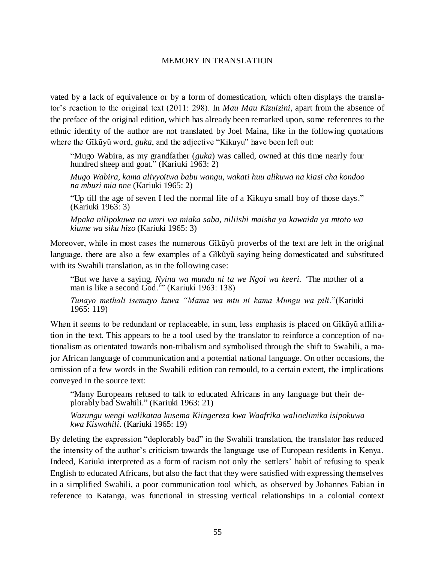vated by a lack of equivalence or by a form of domestication, which often displays the translator's reaction to the original text (2011: 298). In *Mau Mau Kizuizini*, apart from the absence of the preface of the original edition, which has already been remarked upon, some references to the ethnic identity of the author are not translated by Joel Maina, like in the following quotations where the Gĩkũyũ word, *guka*, and the adjective "Kikuyu" have been left out:

"Mugo Wabira, as my grandfather (*guka*) was called, owned at this time nearly four hundred sheep and goat." (Kariuki 1963: 2)

*Mugo Wabira, kama alivyoitwa babu wangu, wakati huu alikuwa na kiasi cha kondoo na mbuzi mia nne* (Kariuki 1965: 2)

"Up till the age of seven I led the normal life of a Kikuyu small boy of those days." (Kariuki 1963: 3)

*Mpaka nilipokuwa na umri wa miaka saba, niliishi maisha ya kawaida ya mtoto wa kiume wa siku hizo* (Kariuki 1965: 3)

Moreover, while in most cases the numerous Gĩkũyũ proverbs of the text are left in the original language, there are also a few examples of a Gĩkũyũ saying being domesticated and substituted with its Swahili translation, as in the following case:

"But we have a saying, *Nyina wa mundu ni ta we Ngoi wa keeri. '*The mother of a man is like a second God.'" (Kariuki 1963: 138)

*Tunayo methali isemayo kuwa "Mama wa mtu ni kama Mungu wa pili*."(Kariuki 1965: 119)

When it seems to be redundant or replaceable, in sum, less emphasis is placed on Gĩkũyũ affili ation in the text. This appears to be a tool used by the translator to reinforce a conception of nationalism as orientated towards non-tribalism and symbolised through the shift to Swahili, a major African language of communication and a potential national language. On other occasions, the omission of a few words in the Swahili edition can remould, to a certain extent, the implications conveyed in the source text:

"Many Europeans refused to talk to educated Africans in any language but their deplorably bad Swahili." (Kariuki 1963: 21)

*Wazungu wengi walikataa kusema Kiingereza kwa Waafrika walioelimika isipokuwa kwa Kiswahili*. (Kariuki 1965: 19)

By deleting the expression "deplorably bad" in the Swahili translation, the translator has reduced the intensity of the author's criticism towards the language use of European residents in Kenya. Indeed, Kariuki interpreted as a form of racism not only the settlers' habit of refusing to speak English to educated Africans, but also the fact that they were satisfied with expressing themselves in a simplified Swahili, a poor communication tool which, as observed by Johannes Fabian in reference to Katanga, was functional in stressing vertical relationships in a colonial context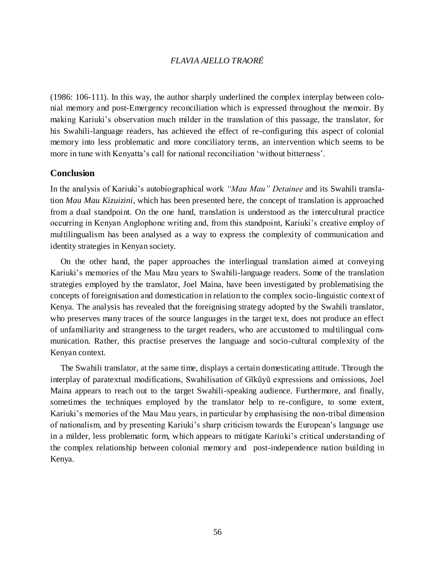(1986: 106-111). In this way, the author sharply underlined the complex interplay between colonial memory and post-Emergency reconciliation which is expressed throughout the memoir. By making Kariuki's observation much milder in the translation of this passage, the translator, for his Swahili-language readers, has achieved the effect of re-configuring this aspect of colonial memory into less problematic and more conciliatory terms, an intervention which seems to be more in tune with Kenyatta's call for national reconciliation 'without bitterness'.

## **Conclusion**

In the analysis of Kariuki's autobiographical work *"Mau Mau" Detainee* and its Swahili translation *Mau Mau Kizuizini*, which has been presented here, the concept of translation is approached from a dual standpoint. On the one hand, translation is understood as the intercultural practice occurring in Kenyan Anglophone writing and, from this standpoint, Kariuki's creative employ of multilingualism has been analysed as a way to express the complexity of communication and identity strategies in Kenyan society.

On the other hand, the paper approaches the interlingual translation aimed at conveying Kariuki's memories of the Mau Mau years to Swahili-language readers. Some of the translation strategies employed by the translator, Joel Maina, have been investigated by problematising the concepts of foreignisation and domestication in relation to the complex socio-linguistic context of Kenya. The analysis has revealed that the foreignising strategy adopted by the Swahili translator, who preserves many traces of the source languages in the target text, does not produce an effect of unfamiliarity and strangeness to the target readers, who are accustomed to multilingual communication. Rather, this practise preserves the language and socio-cultural complexity of the Kenyan context.

The Swahili translator, at the same time, displays a certain domesticating attitude. Through the interplay of paratextual modifications, Swahilisation of Gĩkũyũ expressions and omissions, Joel Maina appears to reach out to the target Swahili-speaking audience. Furthermore, and finally, sometimes the techniques employed by the translator help to re-configure, to some extent, Kariuki's memories of the Mau Mau years, in particular by emphasising the non-tribal dimension of nationalism, and by presenting Kariuki's sharp criticism towards the European's language use in a milder, less problematic form, which appears to mitigate Kariuki's critical understanding of the complex relationship between colonial memory and post-independence nation building in Kenya.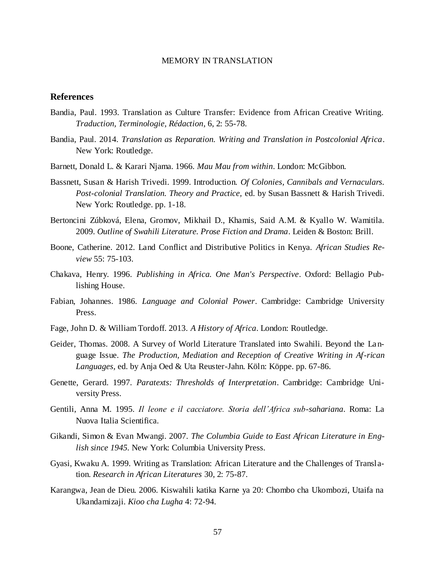## **References**

- Bandia, Paul. 1993. Translation as Culture Transfer: Evidence from African Creative Writing. *Traduction, Terminologie, Rédaction*, 6, 2: 55-78.
- Bandia, Paul. 2014. *Translation as Reparation. Writing and Translation in Postcolonial Africa*. New York: Routledge.
- Barnett, Donald L. & Karari Njama. 1966. *Mau Mau from within*. London: McGibbon.
- Bassnett, Susan & Harish Trivedi. 1999. Introduction. *Of Colonies, Cannibals and Vernaculars. Post-colonial Translation. Theory and Practice,* ed. by Susan Bassnett & Harish Trivedi. New York: Routledge. pp. 1-18.
- Bertoncini Zúbková, Elena, Gromov, Mikhail D., Khamis, Said A.M. & Kyallo W. Wamitila. 2009. *Outline of Swahili Literature. Prose Fiction and Drama*. Leiden & Boston: Brill.
- Boone, Catherine. 2012. Land Conflict and Distributive Politics in Kenya. *African Studies Review* 55: 75-103.
- Chakava, Henry. 1996. *Publishing in Africa. One Man's Perspective*. Oxford: Bellagio Publishing House.
- Fabian, Johannes. 1986. *Language and Colonial Power*. Cambridge: Cambridge University Press.
- Fage, John D. & William Tordoff. 2013. *A History of Africa*. London: Routledge.
- Geider, Thomas. 2008. A Survey of World Literature Translated into Swahili. Beyond the La nguage Issue. *The Production, Mediation and Reception of Creative Writing in Af-rican Languages,* ed. by Anja Oed & Uta Reuster-Jahn. Köln: Köppe. pp. 67-86.
- Genette, Gerard. 1997. *Paratexts: Thresholds of Interpretation*. Cambridge: Cambridge University Press.
- Gentili, Anna M. 1995. *Il leone e il cacciatore. Storia dell'Africa sub-sahariana*. Roma: La Nuova Italia Scientifica.
- Gikandi, Simon & Evan Mwangi. 2007. *The Columbia Guide to East African Literature in English since 1945.* New York: Columbia University Press.
- Gyasi, Kwaku A. 1999. Writing as Translation: African Literature and the Challenges of Translation. *Research in African Literatures* 30, 2: 75-87.
- Karangwa, Jean de Dieu. 2006. Kiswahili katika Karne ya 20: Chombo cha Ukombozi, Utaifa na Ukandamizaji. *Kioo cha Lugha* 4: 72-94.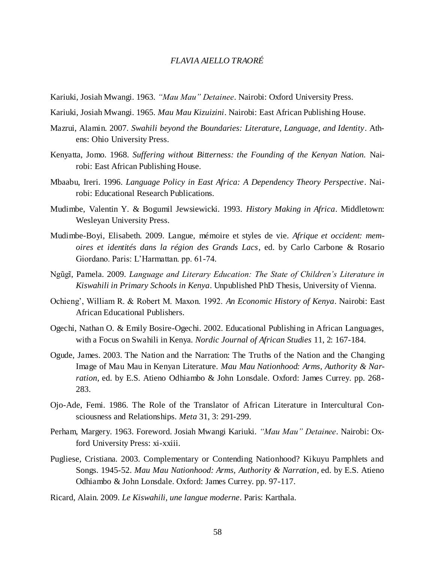- Kariuki, Josiah Mwangi. 1963. *"Mau Mau" Detainee*. Nairobi: Oxford University Press.
- Kariuki, Josiah Mwangi. 1965. *Mau Mau Kizuizini*. Nairobi: East African Publishing House.
- Mazrui, Alamin. 2007. *Swahili beyond the Boundaries: Literature, Language, and Identity*. Athens: Ohio University Press.
- Kenyatta, Jomo. 1968. *Suffering without Bitterness: the Founding of the Kenyan Nation.* Nairobi: East African Publishing House.
- Mbaabu, Ireri. 1996. *Language Policy in East Africa: A Dependency Theory Perspective*. Nairobi: Educational Research Publications.
- Mudimbe, Valentin Y. & Bogumil Jewsiewicki. 1993. *History Making in Africa*. Middletown: Wesleyan University Press.
- Mudimbe-Boyi, Elisabeth. 2009. Langue, mémoire et styles de vie. *Afrique et occident: memoires et identités dans la région des Grands Lacs*, ed. by Carlo Carbone & Rosario Giordano. Paris: L'Harmattan. pp. 61-74.
- Ngũgĩ, Pamela. 2009. *Language and Literary Education: The State of Children's Literature in Kiswahili in Primary Schools in Kenya*. Unpublished PhD Thesis, University of Vienna.
- Ochieng', William R. & Robert M. Maxon. 1992. *An Economic History of Kenya*. Nairobi: East African Educational Publishers.
- Ogechi, Nathan O. & Emily Bosire-Ogechi. 2002. Educational Publishing in African Languages, with a Focus on Swahili in Kenya. *Nordic Journal of African Studies* 11, 2: 167-184.
- Ogude, James. 2003. The Nation and the Narration: The Truths of the Nation and the Changing Image of Mau Mau in Kenyan Literature. *Mau Mau Nationhood: Arms, Authority & Narration*, ed. by E.S. Atieno Odhiambo & John Lonsdale. Oxford: James Currey. pp. 268- 283.
- Ojo-Ade, Femi. 1986. The Role of the Translator of African Literature in Intercultural Consciousness and Relationships. *Meta* 31, 3: 291-299.
- Perham, Margery. 1963. Foreword. Josiah Mwangi Kariuki. *"Mau Mau" Detainee*. Nairobi: Oxford University Press: xi-xxiii.
- Pugliese, Cristiana. 2003. Complementary or Contending Nationhood? Kikuyu Pamphlets and Songs. 1945-52. *Mau Mau Nationhood: Arms, Authority & Narration*, ed. by E.S. Atieno Odhiambo & John Lonsdale. Oxford: James Currey. pp. 97-117.
- Ricard, Alain. 2009. *Le Kiswahili, une langue moderne*. Paris: Karthala.